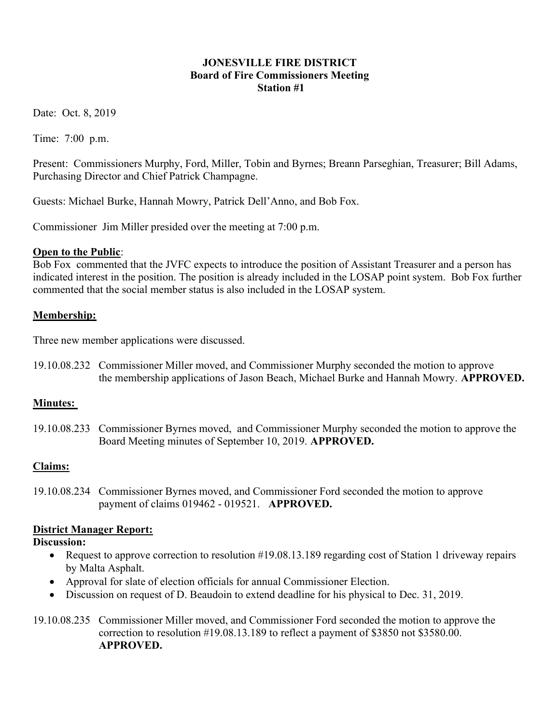#### JONESVILLE FIRE DISTRICT Board of Fire Commissioners Meeting Station #1

Date: Oct. 8, 2019

Time: 7:00 p.m.

Present: Commissioners Murphy, Ford, Miller, Tobin and Byrnes; Breann Parseghian, Treasurer; Bill Adams, Purchasing Director and Chief Patrick Champagne.

Guests: Michael Burke, Hannah Mowry, Patrick Dell'Anno, and Bob Fox.

Commissioner Jim Miller presided over the meeting at 7:00 p.m.

## Open to the Public:

Bob Fox commented that the JVFC expects to introduce the position of Assistant Treasurer and a person has indicated interest in the position. The position is already included in the LOSAP point system. Bob Fox further commented that the social member status is also included in the LOSAP system.

## Membership:

Three new member applications were discussed.

19.10.08.232 Commissioner Miller moved, and Commissioner Murphy seconded the motion to approve the membership applications of Jason Beach, Michael Burke and Hannah Mowry. APPROVED.

## Minutes:

19.10.08.233 Commissioner Byrnes moved, and Commissioner Murphy seconded the motion to approve the Board Meeting minutes of September 10, 2019. APPROVED.

## Claims:

19.10.08.234 Commissioner Byrnes moved, and Commissioner Ford seconded the motion to approve payment of claims 019462 - 019521. APPROVED.

## District Manager Report:

## Discussion:

- Request to approve correction to resolution #19.08.13.189 regarding cost of Station 1 driveway repairs by Malta Asphalt.
- Approval for slate of election officials for annual Commissioner Election.
- Discussion on request of D. Beaudoin to extend deadline for his physical to Dec. 31, 2019.
- 19.10.08.235 Commissioner Miller moved, and Commissioner Ford seconded the motion to approve the correction to resolution #19.08.13.189 to reflect a payment of \$3850 not \$3580.00. APPROVED.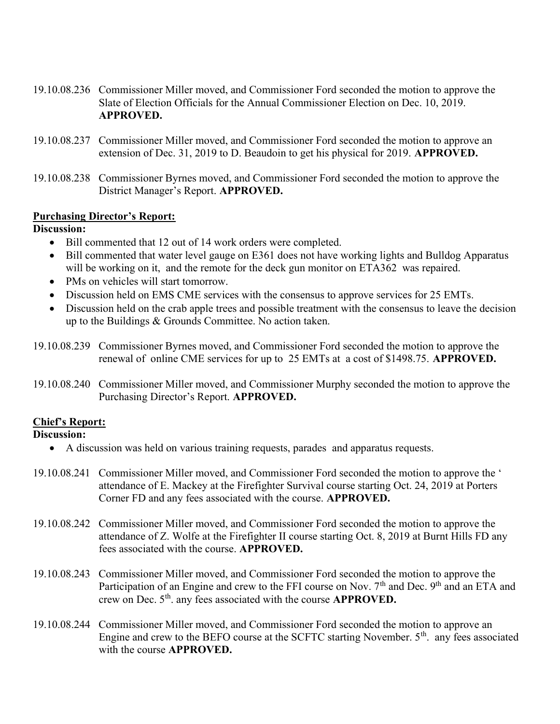- 19.10.08.236 Commissioner Miller moved, and Commissioner Ford seconded the motion to approve the Slate of Election Officials for the Annual Commissioner Election on Dec. 10, 2019. APPROVED.
- 19.10.08.237 Commissioner Miller moved, and Commissioner Ford seconded the motion to approve an extension of Dec. 31, 2019 to D. Beaudoin to get his physical for 2019. APPROVED.
- 19.10.08.238 Commissioner Byrnes moved, and Commissioner Ford seconded the motion to approve the District Manager's Report. APPROVED.

#### Purchasing Director's Report:

#### Discussion:

- Bill commented that 12 out of 14 work orders were completed.
- Bill commented that water level gauge on E361 does not have working lights and Bulldog Apparatus will be working on it, and the remote for the deck gun monitor on ETA362 was repaired.
- PMs on vehicles will start tomorrow.
- Discussion held on EMS CME services with the consensus to approve services for 25 EMTs.
- Discussion held on the crab apple trees and possible treatment with the consensus to leave the decision up to the Buildings & Grounds Committee. No action taken.
- 19.10.08.239 Commissioner Byrnes moved, and Commissioner Ford seconded the motion to approve the renewal of online CME services for up to 25 EMTs at a cost of \$1498.75. APPROVED.
- 19.10.08.240 Commissioner Miller moved, and Commissioner Murphy seconded the motion to approve the Purchasing Director's Report. APPROVED.

## Chief's Report:

#### Discussion:

- A discussion was held on various training requests, parades and apparatus requests.
- 19.10.08.241 Commissioner Miller moved, and Commissioner Ford seconded the motion to approve the ' attendance of E. Mackey at the Firefighter Survival course starting Oct. 24, 2019 at Porters Corner FD and any fees associated with the course. APPROVED.
- 19.10.08.242 Commissioner Miller moved, and Commissioner Ford seconded the motion to approve the attendance of Z. Wolfe at the Firefighter II course starting Oct. 8, 2019 at Burnt Hills FD any fees associated with the course. APPROVED.
- 19.10.08.243 Commissioner Miller moved, and Commissioner Ford seconded the motion to approve the Participation of an Engine and crew to the FFI course on Nov. 7<sup>th</sup> and Dec. 9<sup>th</sup> and an ETA and crew on Dec.  $5<sup>th</sup>$ . any fees associated with the course **APPROVED.**
- 19.10.08.244 Commissioner Miller moved, and Commissioner Ford seconded the motion to approve an Engine and crew to the BEFO course at the SCFTC starting November.  $5<sup>th</sup>$ . any fees associated with the course **APPROVED.**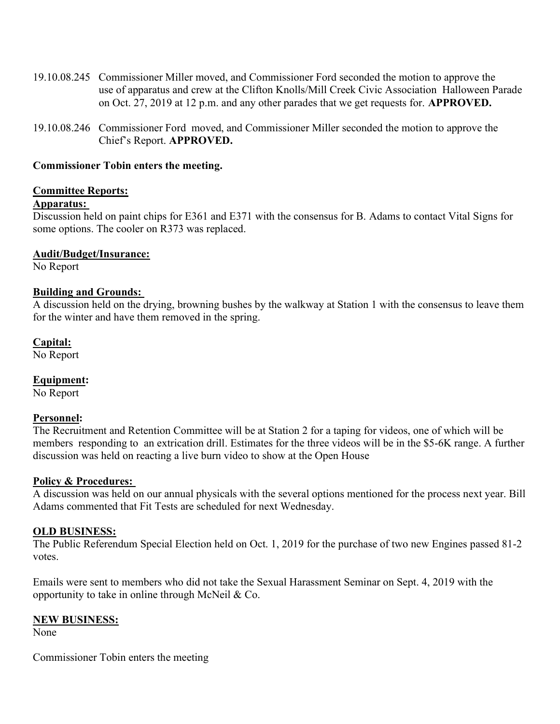- 19.10.08.245 Commissioner Miller moved, and Commissioner Ford seconded the motion to approve the use of apparatus and crew at the Clifton Knolls/Mill Creek Civic Association Halloween Parade on Oct. 27, 2019 at 12 p.m. and any other parades that we get requests for. APPROVED.
- 19.10.08.246 Commissioner Ford moved, and Commissioner Miller seconded the motion to approve the Chief's Report. APPROVED.

#### Commissioner Tobin enters the meeting.

#### Committee Reports:

#### Apparatus:

Discussion held on paint chips for E361 and E371 with the consensus for B. Adams to contact Vital Signs for some options. The cooler on R373 was replaced.

## Audit/Budget/Insurance:

No Report

#### Building and Grounds:

A discussion held on the drying, browning bushes by the walkway at Station 1 with the consensus to leave them for the winter and have them removed in the spring.

#### Capital:

No Report

## Equipment:

No Report

#### Personnel:

The Recruitment and Retention Committee will be at Station 2 for a taping for videos, one of which will be members responding to an extrication drill. Estimates for the three videos will be in the \$5-6K range. A further discussion was held on reacting a live burn video to show at the Open House

#### Policy & Procedures:

A discussion was held on our annual physicals with the several options mentioned for the process next year. Bill Adams commented that Fit Tests are scheduled for next Wednesday.

#### OLD BUSINESS:

The Public Referendum Special Election held on Oct. 1, 2019 for the purchase of two new Engines passed 81-2 votes.

Emails were sent to members who did not take the Sexual Harassment Seminar on Sept. 4, 2019 with the opportunity to take in online through McNeil & Co.

#### NEW BUSINESS:

None

Commissioner Tobin enters the meeting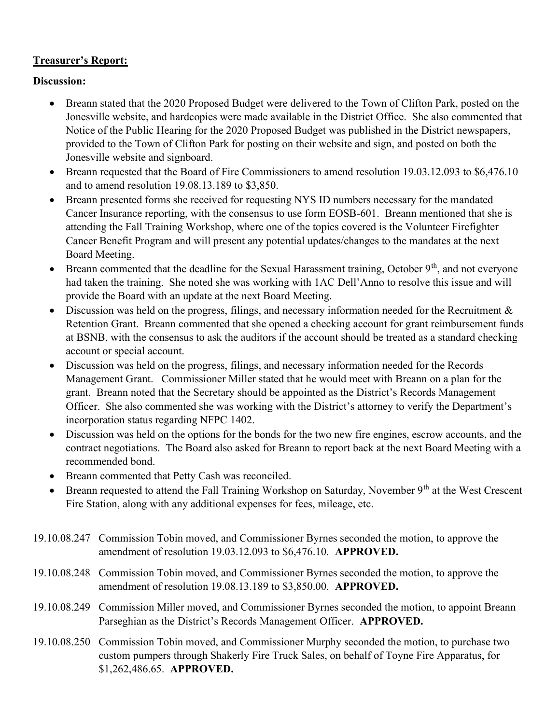## Treasurer's Report:

## Discussion:

- Breann stated that the 2020 Proposed Budget were delivered to the Town of Clifton Park, posted on the Jonesville website, and hardcopies were made available in the District Office. She also commented that Notice of the Public Hearing for the 2020 Proposed Budget was published in the District newspapers, provided to the Town of Clifton Park for posting on their website and sign, and posted on both the Jonesville website and signboard.
- Breann requested that the Board of Fire Commissioners to amend resolution 19.03.12.093 to \$6,476.10 and to amend resolution 19.08.13.189 to \$3,850.
- Breann presented forms she received for requesting NYS ID numbers necessary for the mandated Cancer Insurance reporting, with the consensus to use form EOSB-601. Breann mentioned that she is attending the Fall Training Workshop, where one of the topics covered is the Volunteer Firefighter Cancer Benefit Program and will present any potential updates/changes to the mandates at the next Board Meeting.
- **•** Breann commented that the deadline for the Sexual Harassment training, October  $9<sup>th</sup>$ , and not everyone had taken the training. She noted she was working with 1AC Dell'Anno to resolve this issue and will provide the Board with an update at the next Board Meeting.
- $\bullet$  Discussion was held on the progress, filings, and necessary information needed for the Recruitment & Retention Grant. Breann commented that she opened a checking account for grant reimbursement funds at BSNB, with the consensus to ask the auditors if the account should be treated as a standard checking account or special account.
- Discussion was held on the progress, filings, and necessary information needed for the Records Management Grant. Commissioner Miller stated that he would meet with Breann on a plan for the grant. Breann noted that the Secretary should be appointed as the District's Records Management Officer. She also commented she was working with the District's attorney to verify the Department's incorporation status regarding NFPC 1402.
- Discussion was held on the options for the bonds for the two new fire engines, escrow accounts, and the contract negotiations. The Board also asked for Breann to report back at the next Board Meeting with a recommended bond.
- Breann commented that Petty Cash was reconciled.
- **•** Breann requested to attend the Fall Training Workshop on Saturday, November  $9<sup>th</sup>$  at the West Crescent Fire Station, along with any additional expenses for fees, mileage, etc.
- 19.10.08.247 Commission Tobin moved, and Commissioner Byrnes seconded the motion, to approve the amendment of resolution 19.03.12.093 to \$6,476.10. APPROVED.
- 19.10.08.248 Commission Tobin moved, and Commissioner Byrnes seconded the motion, to approve the amendment of resolution 19.08.13.189 to \$3,850.00. APPROVED.
- 19.10.08.249 Commission Miller moved, and Commissioner Byrnes seconded the motion, to appoint Breann Parseghian as the District's Records Management Officer. APPROVED.
- 19.10.08.250 Commission Tobin moved, and Commissioner Murphy seconded the motion, to purchase two custom pumpers through Shakerly Fire Truck Sales, on behalf of Toyne Fire Apparatus, for \$1,262,486.65. APPROVED.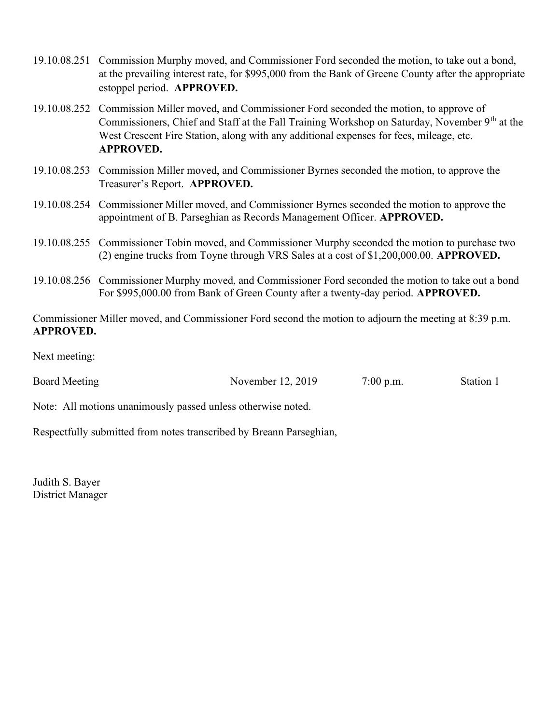- 19.10.08.251 Commission Murphy moved, and Commissioner Ford seconded the motion, to take out a bond, at the prevailing interest rate, for \$995,000 from the Bank of Greene County after the appropriate estoppel period. APPROVED.
- 19.10.08.252 Commission Miller moved, and Commissioner Ford seconded the motion, to approve of Commissioners, Chief and Staff at the Fall Training Workshop on Saturday, November  $9<sup>th</sup>$  at the West Crescent Fire Station, along with any additional expenses for fees, mileage, etc. APPROVED.
- 19.10.08.253 Commission Miller moved, and Commissioner Byrnes seconded the motion, to approve the Treasurer's Report. APPROVED.
- 19.10.08.254 Commissioner Miller moved, and Commissioner Byrnes seconded the motion to approve the appointment of B. Parseghian as Records Management Officer. APPROVED.
- 19.10.08.255 Commissioner Tobin moved, and Commissioner Murphy seconded the motion to purchase two (2) engine trucks from Toyne through VRS Sales at a cost of \$1,200,000.00. APPROVED.
- 19.10.08.256 Commissioner Murphy moved, and Commissioner Ford seconded the motion to take out a bond For \$995,000.00 from Bank of Green County after a twenty-day period. APPROVED.

Commissioner Miller moved, and Commissioner Ford second the motion to adjourn the meeting at 8:39 p.m. APPROVED.

Next meeting:

Board Meeting November 12, 2019 7:00 p.m. Station 1

Note: All motions unanimously passed unless otherwise noted.

Respectfully submitted from notes transcribed by Breann Parseghian,

Judith S. Bayer District Manager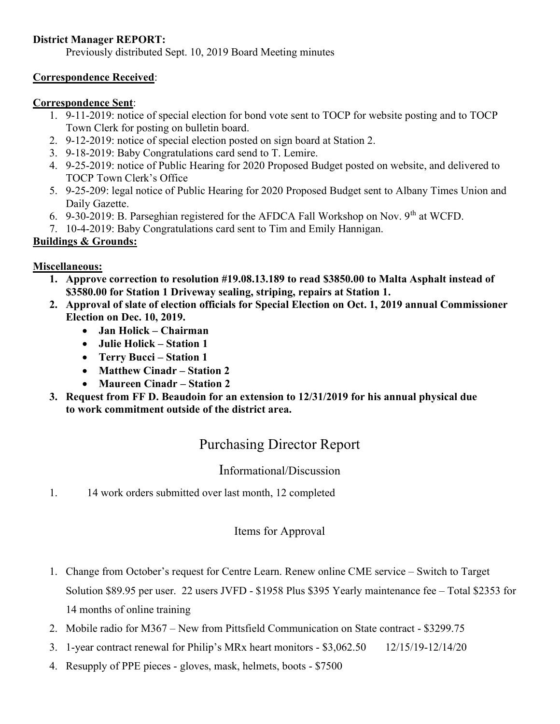## District Manager REPORT:

Previously distributed Sept. 10, 2019 Board Meeting minutes

## Correspondence Received:

## Correspondence Sent:

- 1. 9-11-2019: notice of special election for bond vote sent to TOCP for website posting and to TOCP Town Clerk for posting on bulletin board.
- 2. 9-12-2019: notice of special election posted on sign board at Station 2.
- 3. 9-18-2019: Baby Congratulations card send to T. Lemire.
- 4. 9-25-2019: notice of Public Hearing for 2020 Proposed Budget posted on website, and delivered to TOCP Town Clerk's Office
- 5. 9-25-209: legal notice of Public Hearing for 2020 Proposed Budget sent to Albany Times Union and Daily Gazette.
- 6. 9-30-2019: B. Parseghian registered for the AFDCA Fall Workshop on Nov. 9<sup>th</sup> at WCFD.
- 7. 10-4-2019: Baby Congratulations card sent to Tim and Emily Hannigan.

## Buildings & Grounds:

## Miscellaneous:

- 1. Approve correction to resolution #19.08.13.189 to read \$3850.00 to Malta Asphalt instead of \$3580.00 for Station 1 Driveway sealing, striping, repairs at Station 1.
- 2. Approval of slate of election officials for Special Election on Oct. 1, 2019 annual Commissioner Election on Dec. 10, 2019.
	- Jan Holick Chairman
	- Julie Holick Station 1
	- Terry Bucci Station 1
	- Matthew Cinadr Station 2
	- Maureen Cinadr Station 2
- 3. Request from FF D. Beaudoin for an extension to 12/31/2019 for his annual physical due to work commitment outside of the district area.

# Purchasing Director Report

## Informational/Discussion

1. 14 work orders submitted over last month, 12 completed

## Items for Approval

- 1. Change from October's request for Centre Learn. Renew online CME service Switch to Target Solution \$89.95 per user. 22 users JVFD - \$1958 Plus \$395 Yearly maintenance fee – Total \$2353 for 14 months of online training
- 2. Mobile radio for M367 New from Pittsfield Communication on State contract \$3299.75
- 3. 1-year contract renewal for Philip's MRx heart monitors \$3,062.50 12/15/19-12/14/20
- 4. Resupply of PPE pieces gloves, mask, helmets, boots \$7500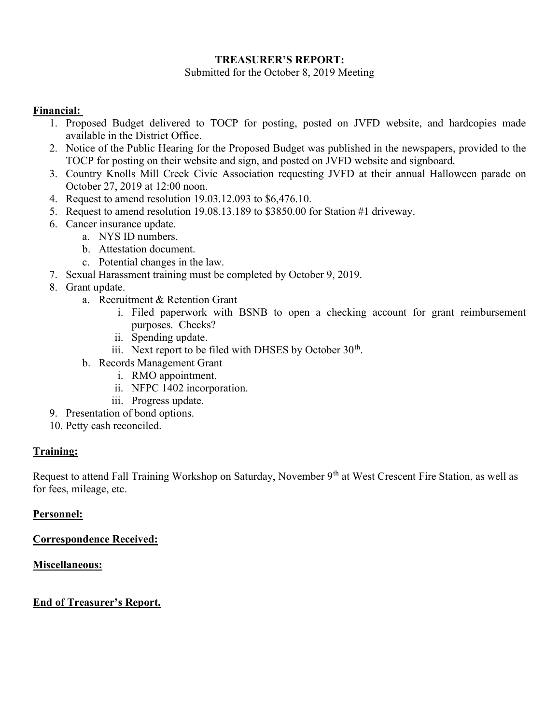#### TREASURER'S REPORT:

Submitted for the October 8, 2019 Meeting

## Financial:

- 1. Proposed Budget delivered to TOCP for posting, posted on JVFD website, and hardcopies made available in the District Office.
- 2. Notice of the Public Hearing for the Proposed Budget was published in the newspapers, provided to the TOCP for posting on their website and sign, and posted on JVFD website and signboard.
- 3. Country Knolls Mill Creek Civic Association requesting JVFD at their annual Halloween parade on October 27, 2019 at 12:00 noon.
- 4. Request to amend resolution 19.03.12.093 to \$6,476.10.
- 5. Request to amend resolution 19.08.13.189 to \$3850.00 for Station #1 driveway.
- 6. Cancer insurance update.
	- a. NYS ID numbers.
		- b. Attestation document.
		- c. Potential changes in the law.
- 7. Sexual Harassment training must be completed by October 9, 2019.
- 8. Grant update.
	- a. Recruitment & Retention Grant
		- i. Filed paperwork with BSNB to open a checking account for grant reimbursement purposes. Checks?
		- ii. Spending update.
		- iii. Next report to be filed with DHSES by October  $30<sup>th</sup>$ .
	- b. Records Management Grant
		- i. RMO appointment.
		- ii. NFPC 1402 incorporation.
		- iii. Progress update.
- 9. Presentation of bond options.
- 10. Petty cash reconciled.

#### Training:

Request to attend Fall Training Workshop on Saturday, November 9<sup>th</sup> at West Crescent Fire Station, as well as for fees, mileage, etc.

#### Personnel:

Correspondence Received:

#### Miscellaneous:

## End of Treasurer's Report.